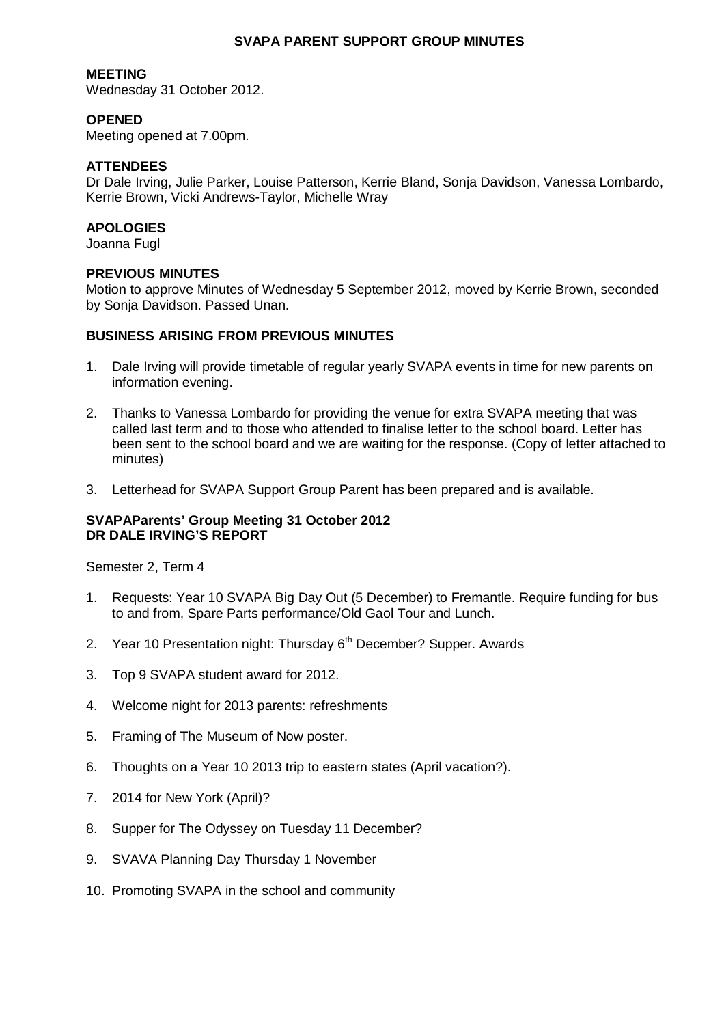## **SVAPA PARENT SUPPORT GROUP MINUTES**

## **MEETING**

Wednesday 31 October 2012.

# **OPENED**

Meeting opened at 7.00pm.

# **ATTENDEES**

Dr Dale Irving, Julie Parker, Louise Patterson, Kerrie Bland, Sonja Davidson, Vanessa Lombardo, Kerrie Brown, Vicki Andrews-Taylor, Michelle Wray

## **APOLOGIES**

Joanna Fugl

#### **PREVIOUS MINUTES**

Motion to approve Minutes of Wednesday 5 September 2012, moved by Kerrie Brown, seconded by Sonja Davidson. Passed Unan.

#### **BUSINESS ARISING FROM PREVIOUS MINUTES**

- 1. Dale Irving will provide timetable of regular yearly SVAPA events in time for new parents on information evening.
- 2. Thanks to Vanessa Lombardo for providing the venue for extra SVAPA meeting that was called last term and to those who attended to finalise letter to the school board. Letter has been sent to the school board and we are waiting for the response. (Copy of letter attached to minutes)
- 3. Letterhead for SVAPA Support Group Parent has been prepared and is available.

#### **SVAPAParents' Group Meeting 31 October 2012 DR DALE IRVING'S REPORT**

Semester 2, Term 4

- 1. Requests: Year 10 SVAPA Big Day Out (5 December) to Fremantle. Require funding for bus to and from, Spare Parts performance/Old Gaol Tour and Lunch.
- 2. Year 10 Presentation night: Thursday  $6<sup>th</sup>$  December? Supper. Awards
- 3. Top 9 SVAPA student award for 2012.
- 4. Welcome night for 2013 parents: refreshments
- 5. Framing of The Museum of Now poster.
- 6. Thoughts on a Year 10 2013 trip to eastern states (April vacation?).
- 7. 2014 for New York (April)?
- 8. Supper for The Odyssey on Tuesday 11 December?
- 9. SVAVA Planning Day Thursday 1 November
- 10. Promoting SVAPA in the school and community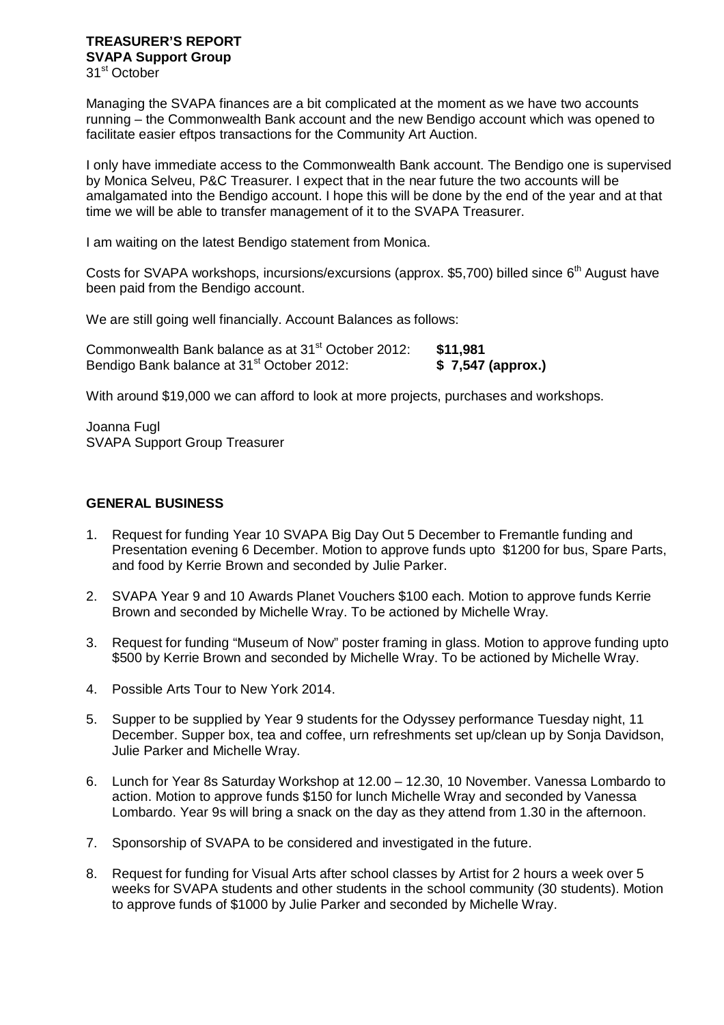# **TREASURER'S REPORT SVAPA Support Group**

31<sup>st</sup> October

Managing the SVAPA finances are a bit complicated at the moment as we have two accounts running – the Commonwealth Bank account and the new Bendigo account which was opened to facilitate easier eftpos transactions for the Community Art Auction.

I only have immediate access to the Commonwealth Bank account. The Bendigo one is supervised by Monica Selveu, P&C Treasurer. I expect that in the near future the two accounts will be amalgamated into the Bendigo account. I hope this will be done by the end of the year and at that time we will be able to transfer management of it to the SVAPA Treasurer.

I am waiting on the latest Bendigo statement from Monica.

Costs for SVAPA workshops, incursions/excursions (approx, \$5,700) billed since 6<sup>th</sup> August have been paid from the Bendigo account.

We are still going well financially. Account Balances as follows:

| Commonwealth Bank balance as at 31 <sup>st</sup> October 2012: | \$11,981          |
|----------------------------------------------------------------|-------------------|
| Bendigo Bank balance at 31 <sup>st</sup> October 2012:         | \$7,547 (approx.) |

With around \$19,000 we can afford to look at more projects, purchases and workshops.

Joanna Fugl SVAPA Support Group Treasurer

# **GENERAL BUSINESS**

- 1. Request for funding Year 10 SVAPA Big Day Out 5 December to Fremantle funding and Presentation evening 6 December. Motion to approve funds upto \$1200 for bus, Spare Parts, and food by Kerrie Brown and seconded by Julie Parker.
- 2. SVAPA Year 9 and 10 Awards Planet Vouchers \$100 each. Motion to approve funds Kerrie Brown and seconded by Michelle Wray. To be actioned by Michelle Wray.
- 3. Request for funding "Museum of Now" poster framing in glass. Motion to approve funding upto \$500 by Kerrie Brown and seconded by Michelle Wray. To be actioned by Michelle Wray.
- 4. Possible Arts Tour to New York 2014.
- 5. Supper to be supplied by Year 9 students for the Odyssey performance Tuesday night, 11 December. Supper box, tea and coffee, urn refreshments set up/clean up by Sonja Davidson, Julie Parker and Michelle Wray.
- 6. Lunch for Year 8s Saturday Workshop at 12.00 12.30, 10 November. Vanessa Lombardo to action. Motion to approve funds \$150 for lunch Michelle Wray and seconded by Vanessa Lombardo. Year 9s will bring a snack on the day as they attend from 1.30 in the afternoon.
- 7. Sponsorship of SVAPA to be considered and investigated in the future.
- 8. Request for funding for Visual Arts after school classes by Artist for 2 hours a week over 5 weeks for SVAPA students and other students in the school community (30 students). Motion to approve funds of \$1000 by Julie Parker and seconded by Michelle Wray.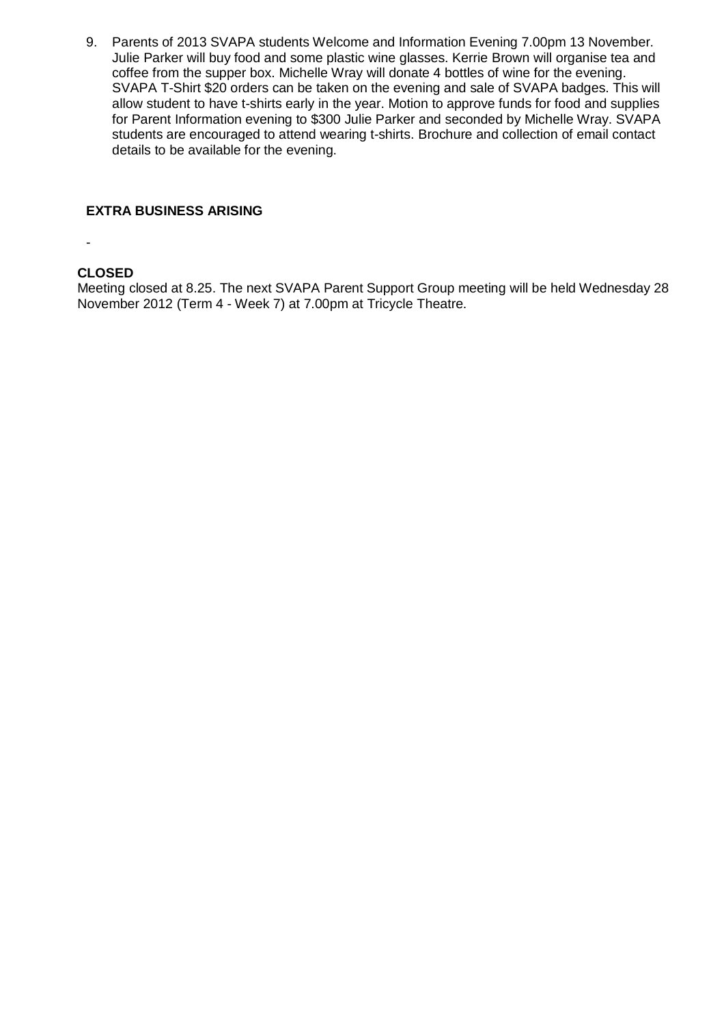9. Parents of 2013 SVAPA students Welcome and Information Evening 7.00pm 13 November. Julie Parker will buy food and some plastic wine glasses. Kerrie Brown will organise tea and coffee from the supper box. Michelle Wray will donate 4 bottles of wine for the evening. SVAPA T-Shirt \$20 orders can be taken on the evening and sale of SVAPA badges. This will allow student to have t-shirts early in the year. Motion to approve funds for food and supplies for Parent Information evening to \$300 Julie Parker and seconded by Michelle Wray. SVAPA students are encouraged to attend wearing t-shirts. Brochure and collection of email contact details to be available for the evening.

#### **EXTRA BUSINESS ARISING**

-

# **CLOSED**

Meeting closed at 8.25. The next SVAPA Parent Support Group meeting will be held Wednesday 28 November 2012 (Term 4 - Week 7) at 7.00pm at Tricycle Theatre.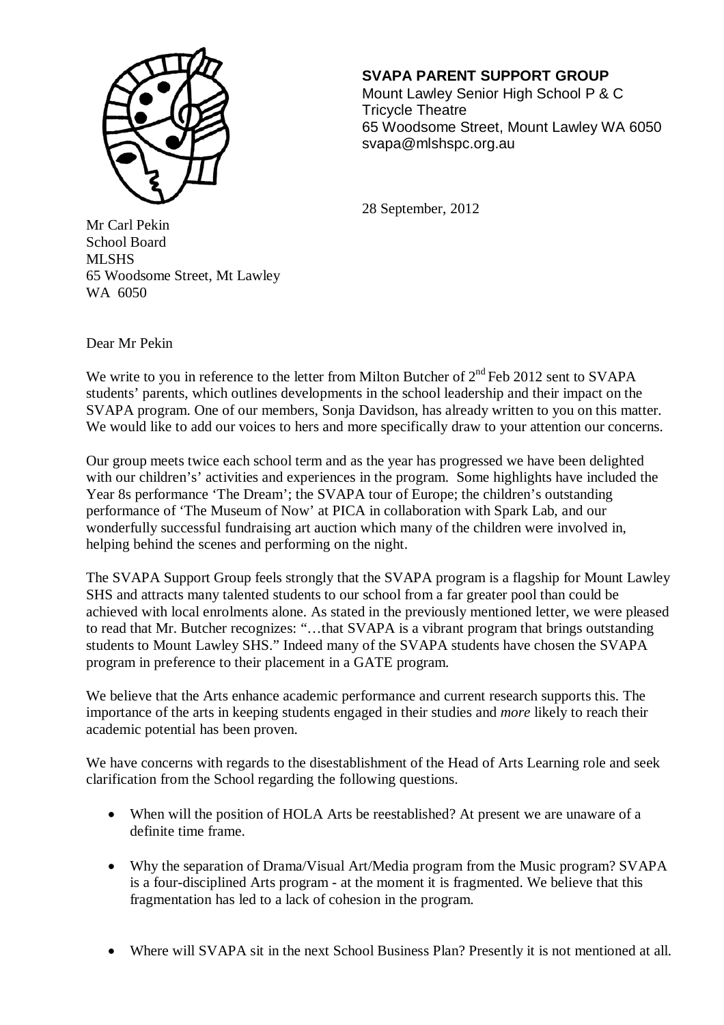

# **SVAPA PARENT SUPPORT GROUP**

 Mount Lawley Senior High School P & C Tricycle Theatre 65 Woodsome Street, Mount Lawley WA 6050 svapa@mlshspc.org.au

28 September, 2012

Mr Carl Pekin School Board MLSHS 65 Woodsome Street, Mt Lawley WA 6050

Dear Mr Pekin

We write to you in reference to the letter from Milton Butcher of  $2<sup>nd</sup>$  Feb 2012 sent to SVAPA students' parents, which outlines developments in the school leadership and their impact on the SVAPA program. One of our members, Sonja Davidson, has already written to you on this matter. We would like to add our voices to hers and more specifically draw to your attention our concerns.

Our group meets twice each school term and as the year has progressed we have been delighted with our children's' activities and experiences in the program. Some highlights have included the Year 8s performance 'The Dream'; the SVAPA tour of Europe; the children's outstanding performance of 'The Museum of Now' at PICA in collaboration with Spark Lab, and our wonderfully successful fundraising art auction which many of the children were involved in, helping behind the scenes and performing on the night.

The SVAPA Support Group feels strongly that the SVAPA program is a flagship for Mount Lawley SHS and attracts many talented students to our school from a far greater pool than could be achieved with local enrolments alone. As stated in the previously mentioned letter, we were pleased to read that Mr. Butcher recognizes: "…that SVAPA is a vibrant program that brings outstanding students to Mount Lawley SHS." Indeed many of the SVAPA students have chosen the SVAPA program in preference to their placement in a GATE program.

We believe that the Arts enhance academic performance and current research supports this. The importance of the arts in keeping students engaged in their studies and *more* likely to reach their academic potential has been proven.

We have concerns with regards to the disestablishment of the Head of Arts Learning role and seek clarification from the School regarding the following questions.

- When will the position of HOLA Arts be reestablished? At present we are unaware of a definite time frame.
- Why the separation of Drama/Visual Art/Media program from the Music program? SVAPA is a four-disciplined Arts program - at the moment it is fragmented. We believe that this fragmentation has led to a lack of cohesion in the program.
- Where will SVAPA sit in the next School Business Plan? Presently it is not mentioned at all.